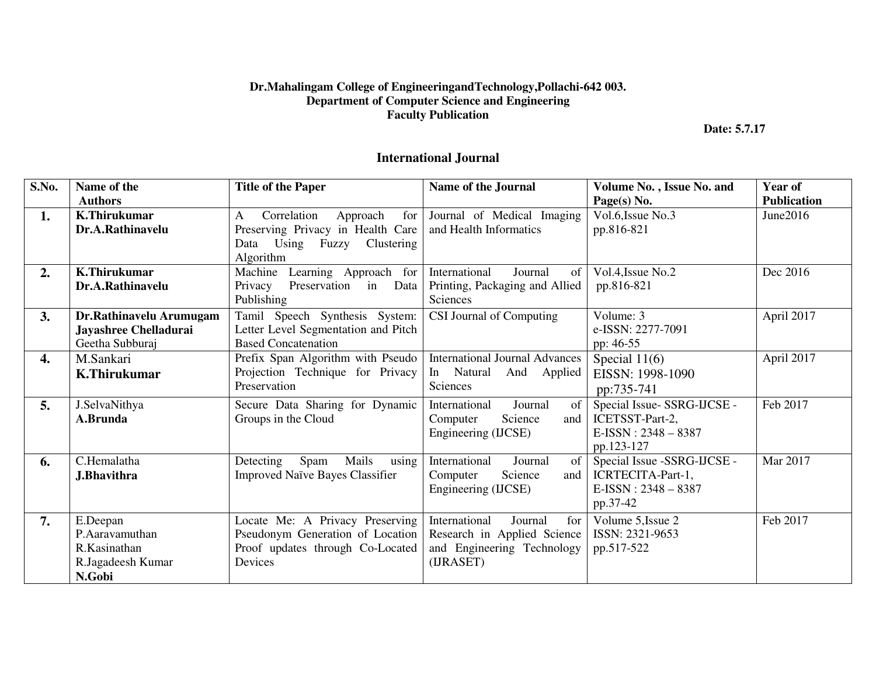## **Dr.Mahalingam College of EngineeringandTechnology,Pollachi-642 003. Department of Computer Science and Engineering Faculty Publication**

 **Date: 5.7.17** 

## **International Journal**

| S.No. | Name of the<br><b>Authors</b>                                             | <b>Title of the Paper</b>                                                                                               | <b>Name of the Journal</b>                                                                                | Volume No., Issue No. and<br>Page(s) No.                                                     | Year of<br><b>Publication</b> |
|-------|---------------------------------------------------------------------------|-------------------------------------------------------------------------------------------------------------------------|-----------------------------------------------------------------------------------------------------------|----------------------------------------------------------------------------------------------|-------------------------------|
| 1.    | <b>K.Thirukumar</b><br>Dr.A.Rathinavelu                                   | Correlation<br>for<br>Approach<br>A<br>Preserving Privacy in Health Care<br>Data Using<br>Fuzzy Clustering<br>Algorithm | Journal of Medical Imaging<br>and Health Informatics                                                      | Vol.6, Issue No.3<br>pp.816-821                                                              | June2016                      |
| 2.    | <b>K.Thirukumar</b><br>Dr.A.Rathinavelu                                   | Learning Approach for<br>Machine<br>Preservation in<br>Privacy<br>Data<br>Publishing                                    | International<br>Journal<br>of<br>Printing, Packaging and Allied<br>Sciences                              | Vol.4, Issue No.2<br>pp.816-821                                                              | Dec 2016                      |
| 3.    | Dr.Rathinavelu Arumugam<br>Jayashree Chelladurai<br>Geetha Subburaj       | Tamil Speech Synthesis System:<br>Letter Level Segmentation and Pitch<br><b>Based Concatenation</b>                     | CSI Journal of Computing                                                                                  | Volume: 3<br>e-ISSN: 2277-7091<br>pp: 46-55                                                  | April 2017                    |
| 4.    | M.Sankari<br><b>K.Thirukumar</b>                                          | Prefix Span Algorithm with Pseudo<br>Projection Technique for Privacy<br>Preservation                                   | <b>International Journal Advances</b><br>In Natural<br>And<br>Applied<br><b>Sciences</b>                  | Special $11(6)$<br>EISSN: 1998-1090<br>pp:735-741                                            | April 2017                    |
| 5.    | J.SelvaNithya<br>A.Brunda                                                 | Secure Data Sharing for Dynamic<br>Groups in the Cloud                                                                  | International<br>Journal<br>of<br>Science<br>Computer<br>and<br>Engineering (IJCSE)                       | Special Issue-SSRG-IJCSE -<br>ICETSST-Part-2,<br>$E\text{-ISSN}: 2348 - 8387$<br>pp.123-127  | Feb 2017                      |
| 6.    | C.Hemalatha<br><b>J.Bhavithra</b>                                         | Spam<br>Mails<br>Detecting<br>using<br><b>Improved Naïve Bayes Classifier</b>                                           | of<br>International<br>Journal<br>Science<br>Computer<br>and<br>Engineering (IJCSE)                       | Special Issue -SSRG-IJCSE -<br>ICRTECITA-Part-1,<br>$E\text{-ISSN}: 2348 - 8387$<br>pp.37-42 | Mar 2017                      |
| 7.    | E.Deepan<br>P.Aaravamuthan<br>R.Kasinathan<br>R.Jagadeesh Kumar<br>N.Gobi | Locate Me: A Privacy Preserving<br>Pseudonym Generation of Location<br>Proof updates through Co-Located<br>Devices      | International<br>for<br>Journal<br>Research in Applied Science<br>and Engineering Technology<br>(IJRASET) | Volume 5, Issue 2<br>ISSN: 2321-9653<br>pp.517-522                                           | Feb 2017                      |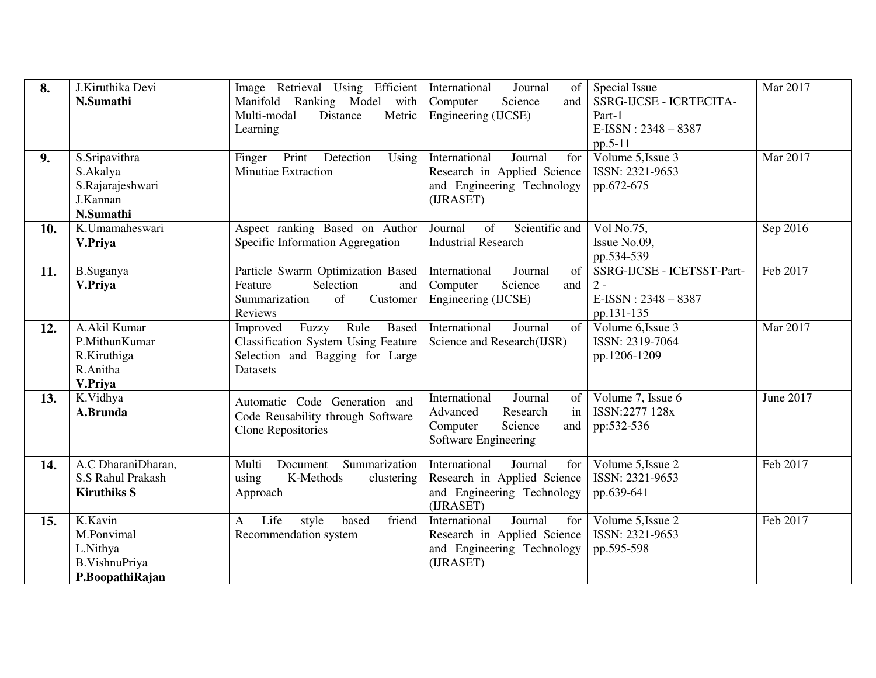| 8.  | J.Kiruthika Devi<br>N.Sumathi                                          | Image Retrieval Using Efficient<br>Manifold Ranking Model with<br>Multi-modal<br>Distance<br>Metric<br>Learning                        | International<br>Journal<br>of  <br>Science<br>Computer<br>and<br>Engineering (IJCSE)                                | Special Issue<br>SSRG-IJCSE - ICRTECITA-<br>Part-1<br>$E$ -ISSN: 2348 - 8387<br>pp.5-11 | Mar 2017         |
|-----|------------------------------------------------------------------------|----------------------------------------------------------------------------------------------------------------------------------------|----------------------------------------------------------------------------------------------------------------------|-----------------------------------------------------------------------------------------|------------------|
| 9.  | S.Sripavithra<br>S.Akalya<br>S.Rajarajeshwari<br>J.Kannan<br>N.Sumathi | Print<br>Detection<br>Finger<br>Using<br><b>Minutiae Extraction</b>                                                                    | International<br>Journal<br>for<br>Research in Applied Science<br>and Engineering Technology<br>(IJRASET)            | Volume 5, Issue 3<br>ISSN: 2321-9653<br>pp.672-675                                      | Mar 2017         |
| 10. | K.Umamaheswari<br>V.Priya                                              | Aspect ranking Based on Author<br>Specific Information Aggregation                                                                     | Journal<br>of<br>Scientific and<br><b>Industrial Research</b>                                                        | Vol No.75,<br>Issue No.09,<br>pp.534-539                                                | Sep 2016         |
| 11. | B.Suganya<br>V.Priya                                                   | Particle Swarm Optimization Based<br>Feature<br>Selection<br>and<br>Summarization<br>of<br>Customer<br>Reviews                         | International<br>Journal<br>of<br>Science<br>Computer<br>and<br>Engineering (IJCSE)                                  | SSRG-IJCSE - ICETSST-Part-<br>$2 -$<br>$E$ -ISSN: 2348 - 8387<br>pp.131-135             | Feb 2017         |
| 12. | A.Akil Kumar<br>P.MithunKumar<br>R.Kiruthiga<br>R.Anitha<br>V.Priya    | Rule<br>Based<br>Improved<br>Fuzzy<br><b>Classification System Using Feature</b><br>Selection and Bagging for Large<br><b>Datasets</b> | International<br>Journal<br>$\sigma$ f<br>Science and Research(IJSR)                                                 | Volume 6, Issue 3<br>ISSN: 2319-7064<br>pp.1206-1209                                    | Mar 2017         |
| 13. | K.Vidhya<br>A.Brunda                                                   | Automatic Code Generation and<br>Code Reusability through Software<br><b>Clone Repositories</b>                                        | International<br>Journal<br>of 1<br>Advanced<br>Research<br>in<br>Computer<br>Science<br>and<br>Software Engineering | Volume 7, Issue 6<br>ISSN:2277 128x<br>pp:532-536                                       | <b>June 2017</b> |
| 14. | A.C DharaniDharan,<br>S.S Rahul Prakash<br><b>Kiruthiks S</b>          | Document<br>Summarization<br>Multi<br>K-Methods<br>using<br>clustering<br>Approach                                                     | International<br>Journal<br>for<br>Research in Applied Science<br>and Engineering Technology<br>(IJRASET)            | Volume 5, Issue 2<br>ISSN: 2321-9653<br>pp.639-641                                      | Feb 2017         |
| 15. | K.Kavin<br>M.Ponvimal<br>L.Nithya<br>B.VishnuPriya<br>P.BoopathiRajan  | Life<br>style<br>based<br>friend<br>A<br>Recommendation system                                                                         | International<br>Journal<br>for<br>Research in Applied Science<br>and Engineering Technology<br>(IJRASET)            | Volume 5, Issue 2<br>ISSN: 2321-9653<br>pp.595-598                                      | Feb 2017         |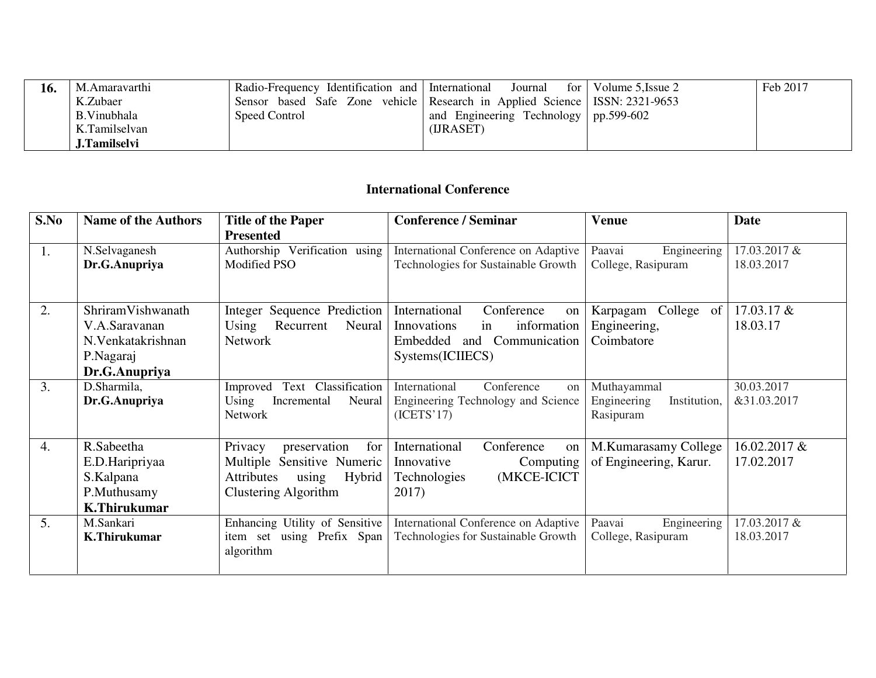| 10. | M.Amaravarthi | Radio-Frequency Identification and International                           | Journal                                   | for   Volume 5, Issue 2 | Feb 2017 |
|-----|---------------|----------------------------------------------------------------------------|-------------------------------------------|-------------------------|----------|
|     | K.Zubaer      | Sensor based Safe Zone vehicle Research in Applied Science ISSN: 2321-9653 |                                           |                         |          |
|     | B.Vinubhala   | Speed Control                                                              | and Engineering Technology   $pp.599-602$ |                         |          |
|     | K.Tamilselvan |                                                                            | (URASET)                                  |                         |          |
|     | J.Tamilselvi  |                                                                            |                                           |                         |          |

## **International Conference**

| S.No | <b>Name of the Authors</b> | <b>Title of the Paper</b>            | <b>Conference / Seminar</b>          | <b>Venue</b>                | Date         |
|------|----------------------------|--------------------------------------|--------------------------------------|-----------------------------|--------------|
|      |                            | <b>Presented</b>                     |                                      |                             |              |
| 1.   | N.Selvaganesh              | Authorship Verification using        | International Conference on Adaptive | Paavai<br>Engineering       | 17.03.2017 & |
|      | Dr.G.Anupriya              | Modified PSO                         | Technologies for Sustainable Growth  | College, Rasipuram          | 18.03.2017   |
|      |                            |                                      |                                      |                             |              |
|      |                            |                                      |                                      |                             |              |
| 2.   | ShriramVishwanath          | <b>Integer Sequence Prediction</b>   | International<br>Conference<br>on    | College of<br>Karpagam      | 17.03.17 &   |
|      | V.A.Saravanan              | Using<br>Recurrent<br>Neural         | information<br>Innovations<br>in     | Engineering,                | 18.03.17     |
|      | N.Venkatakrishnan          | <b>Network</b>                       | Communication<br>Embedded<br>and     | Coimbatore                  |              |
|      | P.Nagaraj                  |                                      | Systems(ICIIECS)                     |                             |              |
|      | Dr.G.Anupriya              |                                      |                                      |                             |              |
| 3.   | D.Sharmila,                | Text Classification<br>Improved      | Conference<br>International<br>on    | Muthayammal                 | 30.03.2017   |
|      | Dr.G.Anupriya              | Using<br>Neural<br>Incremental       | Engineering Technology and Science   | Engineering<br>Institution, | &31.03.2017  |
|      |                            | <b>Network</b>                       | (ICETS'17)                           | Rasipuram                   |              |
|      |                            |                                      |                                      |                             |              |
| 4.   | R.Sabeetha                 | Privacy<br>preservation<br>for       | International<br>Conference<br>on    | M.Kumarasamy College        | 16.02.2017 & |
|      | E.D.Haripriyaa             | Multiple Sensitive Numeric           | Innovative<br>Computing              | of Engineering, Karur.      | 17.02.2017   |
|      | S.Kalpana                  | using<br>Hybrid<br><b>Attributes</b> | (MKCE-ICICT<br><b>Technologies</b>   |                             |              |
|      | P.Muthusamy                | Clustering Algorithm                 | 2017)                                |                             |              |
|      | <b>K.Thirukumar</b>        |                                      |                                      |                             |              |
| 5.   | M.Sankari                  | Enhancing Utility of Sensitive       | International Conference on Adaptive | Paavai<br>Engineering       | 17.03.2017 & |
|      | <b>K.Thirukumar</b>        | item set using Prefix Span           | Technologies for Sustainable Growth  | College, Rasipuram          | 18.03.2017   |
|      |                            | algorithm                            |                                      |                             |              |
|      |                            |                                      |                                      |                             |              |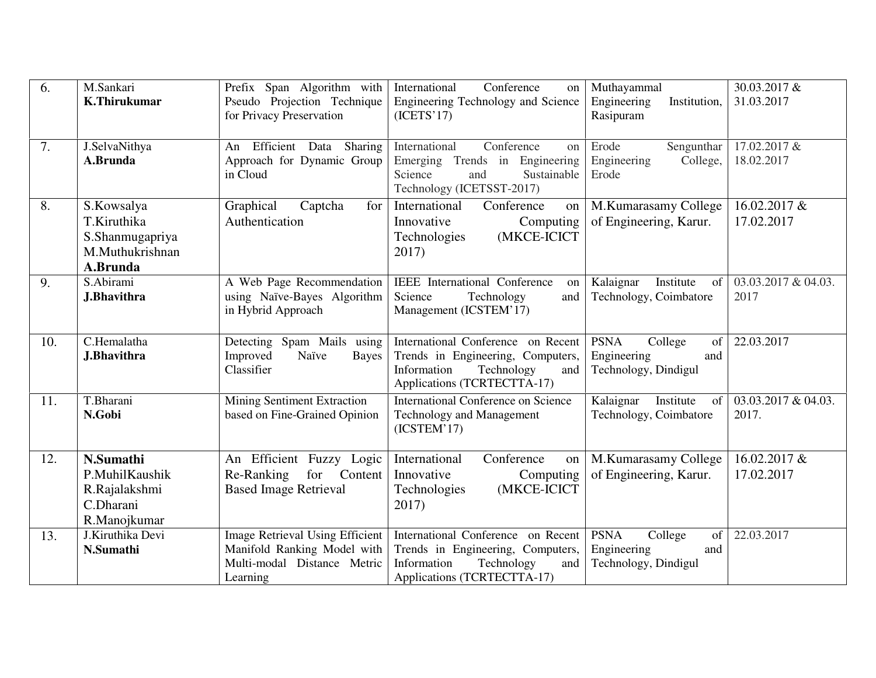| 6.  | M.Sankari<br><b>K.Thirukumar</b>                                            | Prefix Span Algorithm with<br>Pseudo Projection Technique<br>for Privacy Preservation                            | International<br>Conference<br>on<br>Engineering Technology and Science<br>(ICETS'17)                                                      | Muthayammal<br>Engineering<br>Institution,<br>Rasipuram                    | 30.03.2017 &<br>31.03.2017   |
|-----|-----------------------------------------------------------------------------|------------------------------------------------------------------------------------------------------------------|--------------------------------------------------------------------------------------------------------------------------------------------|----------------------------------------------------------------------------|------------------------------|
| 7.  | J.SelvaNithya<br>A.Brunda                                                   | Efficient Data<br>Sharing<br>An<br>Approach for Dynamic Group<br>in Cloud                                        | International<br>Conference<br>on<br>Trends in Engineering<br>Emerging<br>Science<br>Sustainable<br>and<br>Technology (ICETSST-2017)       | Erode<br>Sengunthar<br>Engineering<br>College,<br>Erode                    | 17.02.2017 &<br>18.02.2017   |
| 8.  | S.Kowsalya<br>T.Kiruthika<br>S.Shanmugapriya<br>M.Muthukrishnan<br>A.Brunda | Graphical<br>Captcha<br>for<br>Authentication                                                                    | International<br>Conference<br>on<br>Innovative<br>Computing<br>(MKCE-ICICT<br>Technologies<br>2017)                                       | M.Kumarasamy College<br>of Engineering, Karur.                             | 16.02.2017 &<br>17.02.2017   |
| 9.  | S.Abirami<br><b>J.Bhavithra</b>                                             | A Web Page Recommendation<br>using Naïve-Bayes Algorithm<br>in Hybrid Approach                                   | <b>IEEE</b> International Conference<br>on<br>Science<br>Technology<br>and<br>Management (ICSTEM'17)                                       | Kalaignar<br>Institute<br>of<br>Technology, Coimbatore                     | 03.03.2017 & 04.03.<br>2017  |
| 10. | C.Hemalatha<br><b>J.Bhavithra</b>                                           | Detecting Spam Mails using<br>Naïve<br>Improved<br><b>Bayes</b><br>Classifier                                    | International Conference on Recent<br>Trends in Engineering, Computers,<br>Information<br>Technology<br>and<br>Applications (TCRTECTTA-17) | <b>PSNA</b><br>College<br>of<br>Engineering<br>and<br>Technology, Dindigul | 22.03.2017                   |
| 11. | T.Bharani<br>N.Gobi                                                         | Mining Sentiment Extraction<br>based on Fine-Grained Opinion                                                     | <b>International Conference on Science</b><br><b>Technology and Management</b><br>(ICSTEM'17)                                              | Kalaignar<br>Institute<br>of<br>Technology, Coimbatore                     | 03.03.2017 & 04.03.<br>2017. |
| 12. | N.Sumathi<br>P.MuhilKaushik<br>R.Rajalakshmi<br>C.Dharani<br>R.Manojkumar   | An Efficient Fuzzy Logic<br>Content<br>Re-Ranking<br>for<br><b>Based Image Retrieval</b>                         | International<br>Conference<br>on<br>Innovative<br>Computing<br>(MKCE-ICICT<br>Technologies<br>2017)                                       | M.Kumarasamy College<br>of Engineering, Karur.                             | 16.02.2017 &<br>17.02.2017   |
| 13. | J.Kiruthika Devi<br>N.Sumathi                                               | <b>Image Retrieval Using Efficient</b><br>Manifold Ranking Model with<br>Multi-modal Distance Metric<br>Learning | International Conference on Recent<br>Trends in Engineering, Computers,<br>Information<br>Technology<br>and<br>Applications (TCRTECTTA-17) | <b>PSNA</b><br>College<br>of<br>Engineering<br>and<br>Technology, Dindigul | 22.03.2017                   |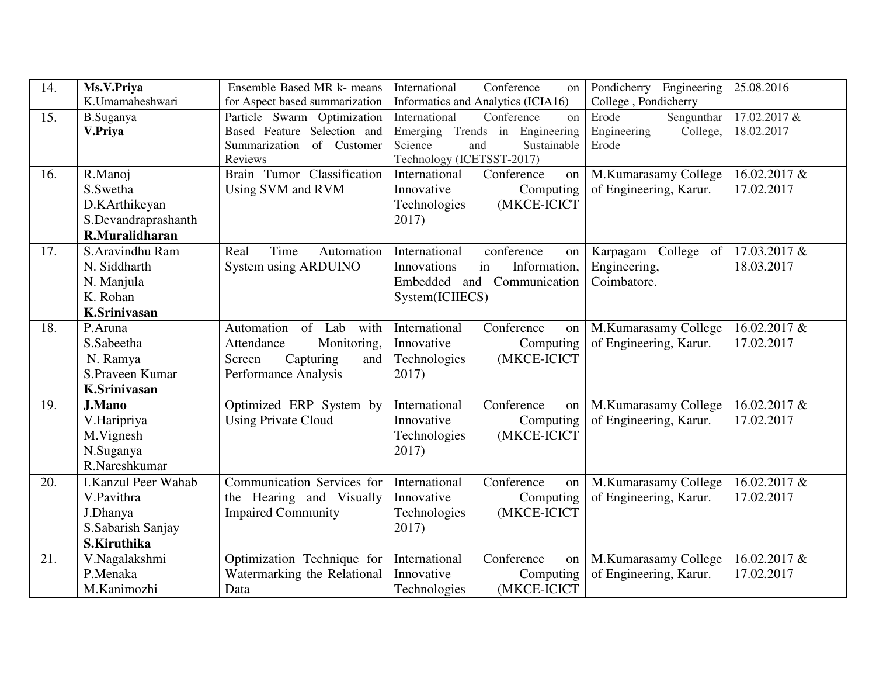| 14. | Ms.V.Priya          | Ensemble Based MR k- means            | International<br>Conference<br>on          | Pondicherry Engineering   | 25.08.2016   |
|-----|---------------------|---------------------------------------|--------------------------------------------|---------------------------|--------------|
|     | K.Umamaheshwari     | for Aspect based summarization        | Informatics and Analytics (ICIA16)         | College, Pondicherry      |              |
| 15. | <b>B.Suganya</b>    | Particle Swarm Optimization           | International<br>Conference<br>on          | Sengunthar<br>Erode       | 17.02.2017 & |
|     | V.Priya             | Based Feature Selection and           | Emerging Trends in Engineering             | College,<br>Engineering   | 18.02.2017   |
|     |                     | Summarization of Customer             | Science<br>Sustainable<br>and              | Erode                     |              |
| 16. |                     | Reviews<br>Brain Tumor Classification | Technology (ICETSST-2017)<br>International |                           | 16.02.2017 & |
|     | R.Manoj             |                                       | Conference<br>on                           | M.Kumarasamy College      |              |
|     | S.Swetha            | Using SVM and RVM                     | Innovative<br>Computing                    | of Engineering, Karur.    | 17.02.2017   |
|     | D.KArthikeyan       |                                       | Technologies<br>(MKCE-ICICT                |                           |              |
|     | S.Devandraprashanth |                                       | 2017)                                      |                           |              |
|     | R.Muralidharan      |                                       |                                            |                           |              |
| 17. | S.Aravindhu Ram     | Real<br>Time<br>Automation            | International<br>conference<br>on          | College<br>of<br>Karpagam | 17.03.2017 & |
|     | N. Siddharth        | System using ARDUINO                  | Information,<br>Innovations<br>in          | Engineering,              | 18.03.2017   |
|     | N. Manjula          |                                       | Embedded and Communication                 | Coimbatore.               |              |
|     | K. Rohan            |                                       | System(ICIIECS)                            |                           |              |
|     | <b>K.Srinivasan</b> |                                       |                                            |                           |              |
| 18. | P.Aruna             | of Lab<br>Automation<br>with          | International<br>Conference<br>on          | M.Kumarasamy College      | 16.02.2017 & |
|     | S.Sabeetha          | Attendance<br>Monitoring,             | Innovative<br>Computing                    | of Engineering, Karur.    | 17.02.2017   |
|     | N. Ramya            | Capturing<br>Screen<br>and            | Technologies<br>(MKCE-ICICT                |                           |              |
|     | S.Praveen Kumar     | Performance Analysis                  | 2017)                                      |                           |              |
|     | <b>K.Srinivasan</b> |                                       |                                            |                           |              |
| 19. | <b>J.Mano</b>       | Optimized ERP System by               | International<br>Conference<br>on          | M.Kumarasamy College      | 16.02.2017 & |
|     | V.Haripriya         | <b>Using Private Cloud</b>            | Computing<br>Innovative                    | of Engineering, Karur.    | 17.02.2017   |
|     | M.Vignesh           |                                       | (MKCE-ICICT<br>Technologies                |                           |              |
|     | N.Suganya           |                                       | 2017)                                      |                           |              |
|     | R.Nareshkumar       |                                       |                                            |                           |              |
| 20. | I.Kanzul Peer Wahab | Communication Services for            | International<br>Conference<br>on          | M.Kumarasamy College      | 16.02.2017 & |
|     | V.Pavithra          | the Hearing and Visually              | Innovative<br>Computing                    | of Engineering, Karur.    | 17.02.2017   |
|     | J.Dhanya            | <b>Impaired Community</b>             | (MKCE-ICICT<br>Technologies                |                           |              |
|     | S.Sabarish Sanjay   |                                       | 2017)                                      |                           |              |
|     | S.Kiruthika         |                                       |                                            |                           |              |
| 21. | V.Nagalakshmi       | Optimization Technique for            | International<br>Conference<br>on          | M.Kumarasamy College      | 16.02.2017 & |
|     | P.Menaka            | Watermarking the Relational           | Innovative<br>Computing                    | of Engineering, Karur.    | 17.02.2017   |
|     | M.Kanimozhi         | Data                                  | (MKCE-ICICT<br>Technologies                |                           |              |